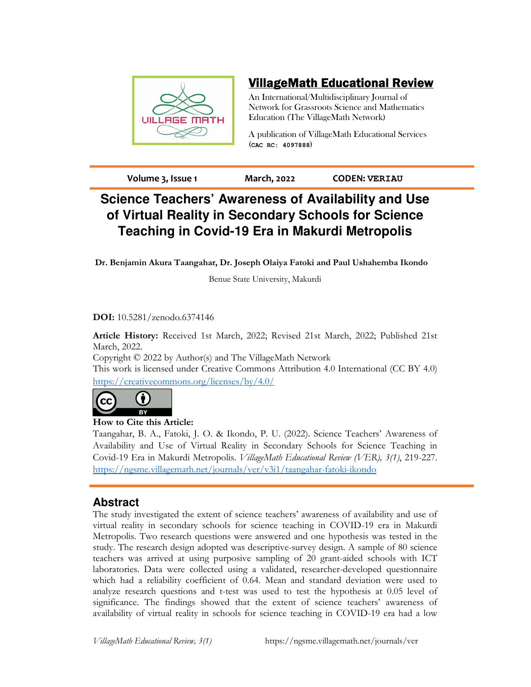

# VillageMath Educational Review

An International/Multidisciplinary Journal of Network for Grassroots Science and Mathematics Education (The VillageMath Network)

A publication of VillageMath Educational Services (**CAC RC: 4097888**)

**Volume 3, Issue 1 March, 2022 CODEN: VERIAU**

# **Science Teachers' Awareness of Availability and Use of Virtual Reality in Secondary Schools for Science Teaching in Covid-19 Era in Makurdi Metropolis**

**Dr. Benjamin Akura Taangahar, Dr. Joseph Olaiya Fatoki and Paul Ushahemba Ikondo** 

Benue State University, Makurdi

### **DOI:** 10.5281/zenodo.6374146

**Article History:** Received 1st March, 2022; Revised 21st March, 2022; Published 21st March, 2022.

Copyright © 2022 by Author(s) and The VillageMath Network

This work is licensed under Creative Commons Attribution 4.0 International (CC BY 4.0) https://creativecommons.org/licenses/by/4.0/



### **How to Cite this Article:**

Taangahar, B. A., Fatoki, J. O. & Ikondo, P. U. (2022). Science Teachers' Awareness of Availability and Use of Virtual Reality in Secondary Schools for Science Teaching in Covid-19 Era in Makurdi Metropolis. *VillageMath Educational Review (VER), 3(1)*, 219-227. https://ngsme.villagemath.net/journals/ver/v3i1/taangahar-fatoki-ikondo

# **Abstract**

The study investigated the extent of science teachers' awareness of availability and use of virtual reality in secondary schools for science teaching in COVID-19 era in Makurdi Metropolis. Two research questions were answered and one hypothesis was tested in the study. The research design adopted was descriptive-survey design. A sample of 80 science teachers was arrived at using purposive sampling of 20 grant-aided schools with ICT laboratories. Data were collected using a validated, researcher-developed questionnaire which had a reliability coefficient of 0.64. Mean and standard deviation were used to analyze research questions and t-test was used to test the hypothesis at 0.05 level of significance. The findings showed that the extent of science teachers' awareness of availability of virtual reality in schools for science teaching in COVID-19 era had a low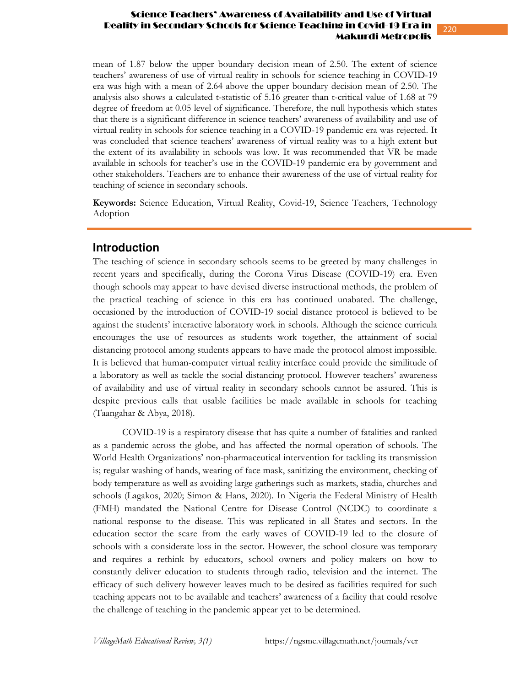### Science Teachers' Awareness of Availability and Use of Virtual Reality in Secondary Schools for Science Teaching in Covid-19 Era in Makurdi Metropolis

mean of 1.87 below the upper boundary decision mean of 2.50. The extent of science teachers' awareness of use of virtual reality in schools for science teaching in COVID-19 era was high with a mean of 2.64 above the upper boundary decision mean of 2.50. The analysis also shows a calculated t-statistic of 5.16 greater than t-critical value of 1.68 at 79 degree of freedom at 0.05 level of significance. Therefore, the null hypothesis which states that there is a significant difference in science teachers' awareness of availability and use of virtual reality in schools for science teaching in a COVID-19 pandemic era was rejected. It was concluded that science teachers' awareness of virtual reality was to a high extent but the extent of its availability in schools was low. It was recommended that VR be made available in schools for teacher's use in the COVID-19 pandemic era by government and other stakeholders. Teachers are to enhance their awareness of the use of virtual reality for teaching of science in secondary schools.

**Keywords:** Science Education, Virtual Reality, Covid-19, Science Teachers, Technology Adoption

## **Introduction**

The teaching of science in secondary schools seems to be greeted by many challenges in recent years and specifically, during the Corona Virus Disease (COVID-19) era. Even though schools may appear to have devised diverse instructional methods, the problem of the practical teaching of science in this era has continued unabated. The challenge, occasioned by the introduction of COVID-19 social distance protocol is believed to be against the students' interactive laboratory work in schools. Although the science curricula encourages the use of resources as students work together, the attainment of social distancing protocol among students appears to have made the protocol almost impossible. It is believed that human-computer virtual reality interface could provide the similitude of a laboratory as well as tackle the social distancing protocol. However teachers' awareness of availability and use of virtual reality in secondary schools cannot be assured. This is despite previous calls that usable facilities be made available in schools for teaching (Taangahar & Abya, 2018).

COVID-19 is a respiratory disease that has quite a number of fatalities and ranked as a pandemic across the globe, and has affected the normal operation of schools. The World Health Organizations' non-pharmaceutical intervention for tackling its transmission is; regular washing of hands, wearing of face mask, sanitizing the environment, checking of body temperature as well as avoiding large gatherings such as markets, stadia, churches and schools (Lagakos, 2020; Simon & Hans, 2020). In Nigeria the Federal Ministry of Health (FMH) mandated the National Centre for Disease Control (NCDC) to coordinate a national response to the disease. This was replicated in all States and sectors. In the education sector the scare from the early waves of COVID-19 led to the closure of schools with a considerate loss in the sector. However, the school closure was temporary and requires a rethink by educators, school owners and policy makers on how to constantly deliver education to students through radio, television and the internet. The efficacy of such delivery however leaves much to be desired as facilities required for such teaching appears not to be available and teachers' awareness of a facility that could resolve the challenge of teaching in the pandemic appear yet to be determined.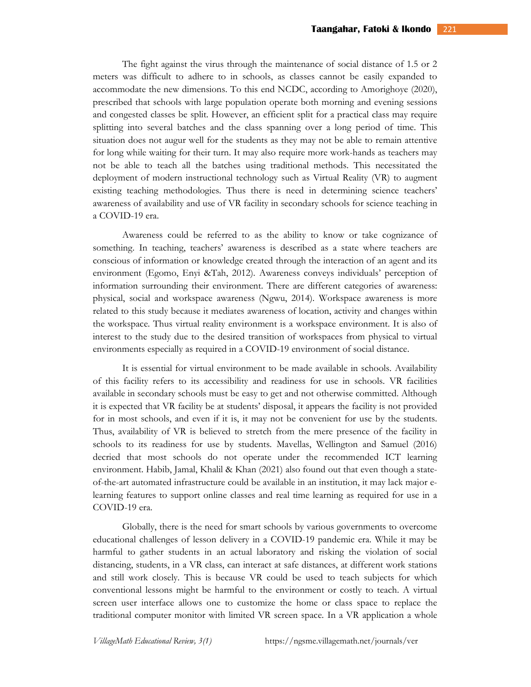The fight against the virus through the maintenance of social distance of 1.5 or 2 meters was difficult to adhere to in schools, as classes cannot be easily expanded to accommodate the new dimensions. To this end NCDC, according to Amorighoye (2020), prescribed that schools with large population operate both morning and evening sessions and congested classes be split. However, an efficient split for a practical class may require splitting into several batches and the class spanning over a long period of time. This situation does not augur well for the students as they may not be able to remain attentive for long while waiting for their turn. It may also require more work-hands as teachers may not be able to teach all the batches using traditional methods. This necessitated the deployment of modern instructional technology such as Virtual Reality (VR) to augment existing teaching methodologies. Thus there is need in determining science teachers' awareness of availability and use of VR facility in secondary schools for science teaching in a COVID-19 era.

Awareness could be referred to as the ability to know or take cognizance of something. In teaching, teachers' awareness is described as a state where teachers are conscious of information or knowledge created through the interaction of an agent and its environment (Egomo, Enyi &Tah, 2012). Awareness conveys individuals' perception of information surrounding their environment. There are different categories of awareness: physical, social and workspace awareness (Ngwu, 2014). Workspace awareness is more related to this study because it mediates awareness of location, activity and changes within the workspace. Thus virtual reality environment is a workspace environment. It is also of interest to the study due to the desired transition of workspaces from physical to virtual environments especially as required in a COVID-19 environment of social distance.

It is essential for virtual environment to be made available in schools. Availability of this facility refers to its accessibility and readiness for use in schools. VR facilities available in secondary schools must be easy to get and not otherwise committed. Although it is expected that VR facility be at students' disposal, it appears the facility is not provided for in most schools, and even if it is, it may not be convenient for use by the students. Thus, availability of VR is believed to stretch from the mere presence of the facility in schools to its readiness for use by students. Mavellas, Wellington and Samuel (2016) decried that most schools do not operate under the recommended ICT learning environment. Habib, Jamal, Khalil & Khan (2021) also found out that even though a stateof-the-art automated infrastructure could be available in an institution, it may lack major elearning features to support online classes and real time learning as required for use in a COVID-19 era.

Globally, there is the need for smart schools by various governments to overcome educational challenges of lesson delivery in a COVID-19 pandemic era. While it may be harmful to gather students in an actual laboratory and risking the violation of social distancing, students, in a VR class, can interact at safe distances, at different work stations and still work closely. This is because VR could be used to teach subjects for which conventional lessons might be harmful to the environment or costly to teach. A virtual screen user interface allows one to customize the home or class space to replace the traditional computer monitor with limited VR screen space. In a VR application a whole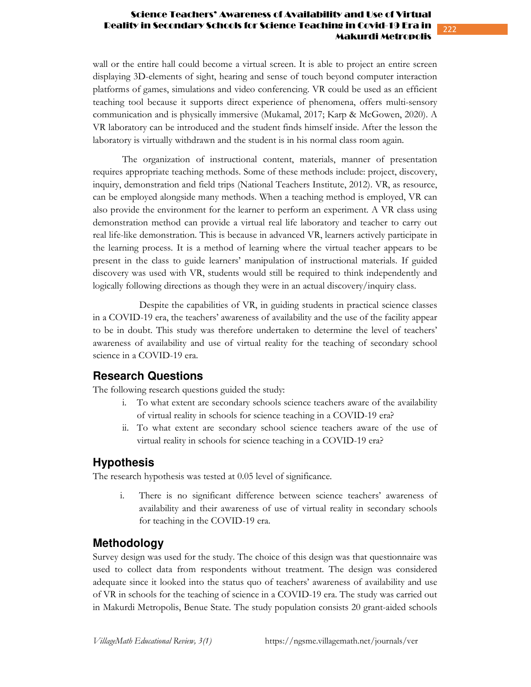### Science Teachers' Awareness of Availability and Use of Virtual Reality in Secondary Schools for Science Teaching in Covid-19 Era in Makurdi Metropolis

wall or the entire hall could become a virtual screen. It is able to project an entire screen displaying 3D-elements of sight, hearing and sense of touch beyond computer interaction platforms of games, simulations and video conferencing. VR could be used as an efficient teaching tool because it supports direct experience of phenomena, offers multi-sensory communication and is physically immersive (Mukamal, 2017; Karp & McGowen, 2020). A VR laboratory can be introduced and the student finds himself inside. After the lesson the laboratory is virtually withdrawn and the student is in his normal class room again.

The organization of instructional content, materials, manner of presentation requires appropriate teaching methods. Some of these methods include: project, discovery, inquiry, demonstration and field trips (National Teachers Institute, 2012). VR, as resource, can be employed alongside many methods. When a teaching method is employed, VR can also provide the environment for the learner to perform an experiment. A VR class using demonstration method can provide a virtual real life laboratory and teacher to carry out real life-like demonstration. This is because in advanced VR, learners actively participate in the learning process. It is a method of learning where the virtual teacher appears to be present in the class to guide learners' manipulation of instructional materials. If guided discovery was used with VR, students would still be required to think independently and logically following directions as though they were in an actual discovery/inquiry class.

 Despite the capabilities of VR, in guiding students in practical science classes in a COVID-19 era, the teachers' awareness of availability and the use of the facility appear to be in doubt. This study was therefore undertaken to determine the level of teachers' awareness of availability and use of virtual reality for the teaching of secondary school science in a COVID-19 era.

## **Research Questions**

The following research questions guided the study:

- i. To what extent are secondary schools science teachers aware of the availability of virtual reality in schools for science teaching in a COVID-19 era?
- ii. To what extent are secondary school science teachers aware of the use of virtual reality in schools for science teaching in a COVID-19 era?

# **Hypothesis**

The research hypothesis was tested at 0.05 level of significance.

i. There is no significant difference between science teachers' awareness of availability and their awareness of use of virtual reality in secondary schools for teaching in the COVID-19 era.

## **Methodology**

Survey design was used for the study. The choice of this design was that questionnaire was used to collect data from respondents without treatment. The design was considered adequate since it looked into the status quo of teachers' awareness of availability and use of VR in schools for the teaching of science in a COVID-19 era. The study was carried out in Makurdi Metropolis, Benue State. The study population consists 20 grant-aided schools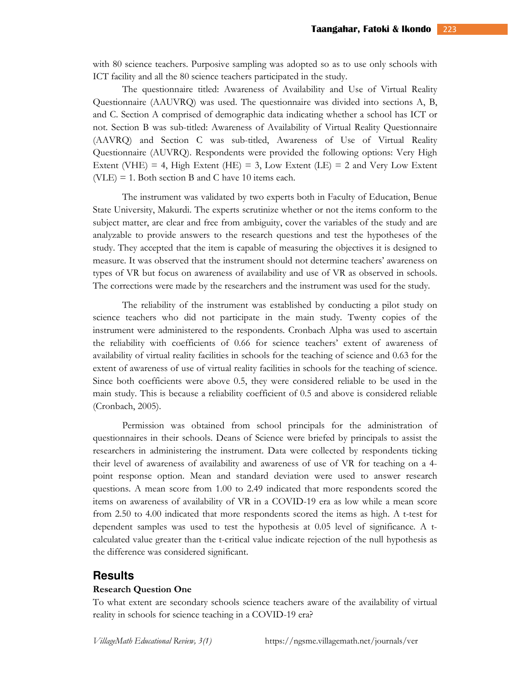with 80 science teachers. Purposive sampling was adopted so as to use only schools with ICT facility and all the 80 science teachers participated in the study.

The questionnaire titled: Awareness of Availability and Use of Virtual Reality Questionnaire (AAUVRQ) was used. The questionnaire was divided into sections A, B, and C. Section A comprised of demographic data indicating whether a school has ICT or not. Section B was sub-titled: Awareness of Availability of Virtual Reality Questionnaire (AAVRQ) and Section C was sub-titled, Awareness of Use of Virtual Reality Questionnaire (AUVRQ). Respondents were provided the following options: Very High Extent (VHE) = 4, High Extent (HE) = 3, Low Extent (LE) = 2 and Very Low Extent  $(VLE) = 1$ . Both section B and C have 10 items each.

The instrument was validated by two experts both in Faculty of Education, Benue State University, Makurdi. The experts scrutinize whether or not the items conform to the subject matter, are clear and free from ambiguity, cover the variables of the study and are analyzable to provide answers to the research questions and test the hypotheses of the study. They accepted that the item is capable of measuring the objectives it is designed to measure. It was observed that the instrument should not determine teachers' awareness on types of VR but focus on awareness of availability and use of VR as observed in schools. The corrections were made by the researchers and the instrument was used for the study.

The reliability of the instrument was established by conducting a pilot study on science teachers who did not participate in the main study. Twenty copies of the instrument were administered to the respondents. Cronbach Alpha was used to ascertain the reliability with coefficients of 0.66 for science teachers' extent of awareness of availability of virtual reality facilities in schools for the teaching of science and 0.63 for the extent of awareness of use of virtual reality facilities in schools for the teaching of science. Since both coefficients were above 0.5, they were considered reliable to be used in the main study. This is because a reliability coefficient of 0.5 and above is considered reliable (Cronbach, 2005).

Permission was obtained from school principals for the administration of questionnaires in their schools. Deans of Science were briefed by principals to assist the researchers in administering the instrument. Data were collected by respondents ticking their level of awareness of availability and awareness of use of VR for teaching on a 4 point response option. Mean and standard deviation were used to answer research questions. A mean score from 1.00 to 2.49 indicated that more respondents scored the items on awareness of availability of VR in a COVID-19 era as low while a mean score from 2.50 to 4.00 indicated that more respondents scored the items as high. A t-test for dependent samples was used to test the hypothesis at 0.05 level of significance. A tcalculated value greater than the t-critical value indicate rejection of the null hypothesis as the difference was considered significant.

#### **Results**

#### **Research Question One**

To what extent are secondary schools science teachers aware of the availability of virtual reality in schools for science teaching in a COVID-19 era?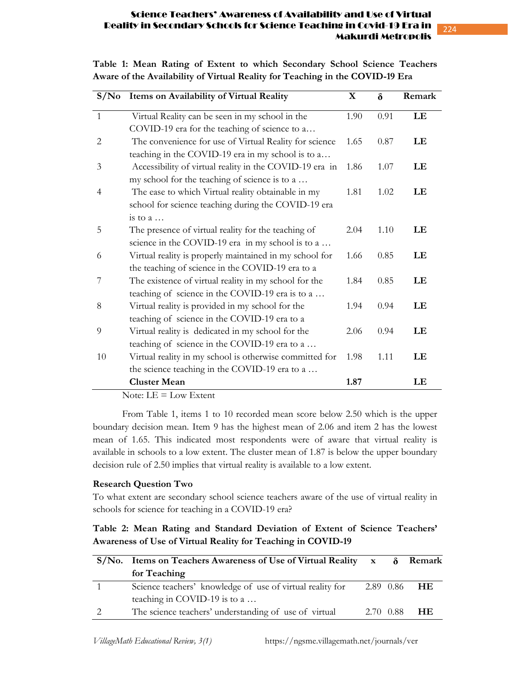# 224

### Science Teachers' Awareness of Availability and Use of Virtual Reality in Secondary Schools for Science Teaching in Covid-19 Era in Makurdi Metropolis

| S/N <sub>0</sub> | Items on Availability of Virtual Reality                |      | $\delta$<br>Remark |    |
|------------------|---------------------------------------------------------|------|--------------------|----|
| $\mathbf{1}$     | Virtual Reality can be seen in my school in the         | 1.90 | 0.91               | LE |
|                  | COVID-19 era for the teaching of science to a           |      |                    |    |
| $\overline{2}$   | The convenience for use of Virtual Reality for science  | 1.65 | 0.87               | LE |
|                  | teaching in the COVID-19 era in my school is to a       |      |                    |    |
| 3                | Accessibility of virtual reality in the COVID-19 era in | 1.86 | 1.07               | LE |
|                  | my school for the teaching of science is to a           |      |                    |    |
| 4                | The ease to which Virtual reality obtainable in my      | 1.81 | 1.02               | LE |
|                  | school for science teaching during the COVID-19 era     |      |                    |    |
|                  | is to $a \dots$                                         |      |                    |    |
| 5                | The presence of virtual reality for the teaching of     | 2.04 | 1.10               | LE |
|                  | science in the COVID-19 era in my school is to a        |      |                    |    |
| 6                | Virtual reality is properly maintained in my school for | 1.66 | 0.85               | LE |
|                  | the teaching of science in the COVID-19 era to a        |      |                    |    |
| 7                | The existence of virtual reality in my school for the   | 1.84 | 0.85               | LE |
|                  | teaching of science in the COVID-19 era is to a         |      |                    |    |
| 8                | Virtual reality is provided in my school for the        | 1.94 | 0.94               | LE |
|                  | teaching of science in the COVID-19 era to a            |      |                    |    |
| 9                | Virtual reality is dedicated in my school for the       | 2.06 | 0.94               | LE |
|                  | teaching of science in the COVID-19 era to a            |      |                    |    |
| 10               | Virtual reality in my school is otherwise committed for | 1.98 | 1.11               | LE |
|                  | the science teaching in the COVID-19 era to a           |      |                    |    |
|                  | <b>Cluster Mean</b>                                     | 1.87 |                    | LE |

**Table 1: Mean Rating of Extent to which Secondary School Science Teachers Aware of the Availability of Virtual Reality for Teaching in the COVID-19 Era** 

Note:  $LE = Low$  Extent

From Table 1, items 1 to 10 recorded mean score below 2.50 which is the upper boundary decision mean. Item 9 has the highest mean of 2.06 and item 2 has the lowest mean of 1.65. This indicated most respondents were of aware that virtual reality is available in schools to a low extent. The cluster mean of 1.87 is below the upper boundary decision rule of 2.50 implies that virtual reality is available to a low extent.

### **Research Question Two**

To what extent are secondary school science teachers aware of the use of virtual reality in schools for science for teaching in a COVID-19 era?

### **Table 2: Mean Rating and Standard Deviation of Extent of Science Teachers' Awareness of Use of Virtual Reality for Teaching in COVID-19**

| $S/N$ o. Items on Teachers Awareness of Use of Virtual Reality x $\delta$ Remark |           |  |                     |
|----------------------------------------------------------------------------------|-----------|--|---------------------|
| for Teaching                                                                     |           |  |                     |
| Science teachers' knowledge of use of virtual reality for                        |           |  | 2.89 0.86 <b>HE</b> |
| teaching in COVID-19 is to $a \dots$                                             |           |  |                     |
| The science teachers' understanding of use of virtual                            | 2.70 0.88 |  | - H E               |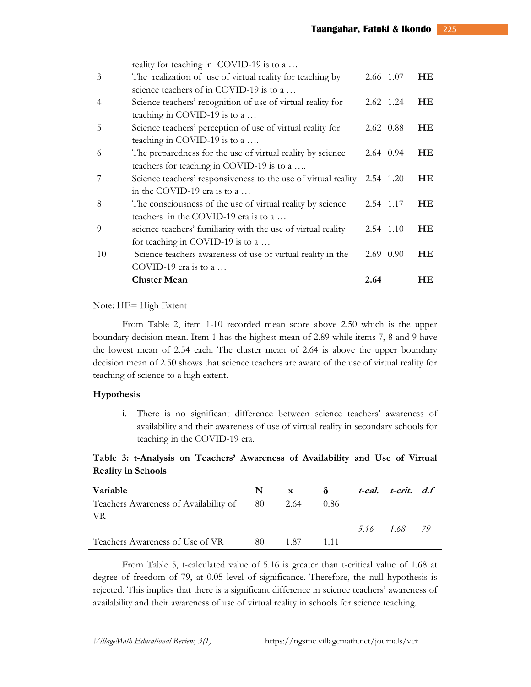|                | reality for teaching in COVID-19 is to a                       |             |     |
|----------------|----------------------------------------------------------------|-------------|-----|
| 3              | The realization of use of virtual reality for teaching by      | 2.66 1.07   | HE  |
|                | science teachers of in COVID-19 is to a                        |             |     |
| $\overline{4}$ | Science teachers' recognition of use of virtual reality for    | 2.62 1.24   | HE  |
|                | teaching in COVID-19 is to a $\dots$                           |             |     |
| 5              | Science teachers' perception of use of virtual reality for     | 2.62 0.88   | HE  |
|                | teaching in COVID-19 is to a $\dots$                           |             |     |
| 6              | The preparedness for the use of virtual reality by science     | 2.64 0.94   | HE  |
|                | teachers for teaching in COVID-19 is to a                      |             |     |
|                | Science teachers' responsiveness to the use of virtual reality | 2.54 1.20   | HE  |
|                | in the COVID-19 era is to a                                    |             |     |
| 8              | The consciousness of the use of virtual reality by science     | 2.54 1.17   | HE  |
|                | teachers in the COVID-19 era is to a                           |             |     |
| 9              | science teachers' familiarity with the use of virtual reality  | 2.54 1.10   | HE  |
|                | for teaching in COVID-19 is to a $\dots$                       |             |     |
| 10             | Science teachers awareness of use of virtual reality in the    | $2.69$ 0.90 | HE  |
|                | COVID-19 era is to a $\dots$                                   |             |     |
|                | <b>Cluster Mean</b>                                            | 2.64        | HE. |
|                |                                                                |             |     |

### Note: HE= High Extent

From Table 2, item 1-10 recorded mean score above 2.50 which is the upper boundary decision mean. Item 1 has the highest mean of 2.89 while items 7, 8 and 9 have the lowest mean of 2.54 each. The cluster mean of 2.64 is above the upper boundary decision mean of 2.50 shows that science teachers are aware of the use of virtual reality for teaching of science to a high extent.

#### **Hypothesis**

i. There is no significant difference between science teachers' awareness of availability and their awareness of use of virtual reality in secondary schools for teaching in the COVID-19 era.

**Table 3: t-Analysis on Teachers' Awareness of Availability and Use of Virtual Reality in Schools** 

| Variable                                      | N. | $\mathbf{X}$ | - ծ   | t-cal. t-crit. d.f |  |
|-----------------------------------------------|----|--------------|-------|--------------------|--|
| Teachers Awareness of Availability of 80 2.64 |    |              | 0.86  |                    |  |
| - VR                                          |    |              |       |                    |  |
|                                               |    |              |       | 5.16 1.68 79       |  |
| Teachers Awareness of Use of VR               | 80 | 1.87         | 1 1 1 |                    |  |

From Table 5, t-calculated value of 5.16 is greater than t-critical value of 1.68 at degree of freedom of 79, at 0.05 level of significance. Therefore, the null hypothesis is rejected. This implies that there is a significant difference in science teachers' awareness of availability and their awareness of use of virtual reality in schools for science teaching.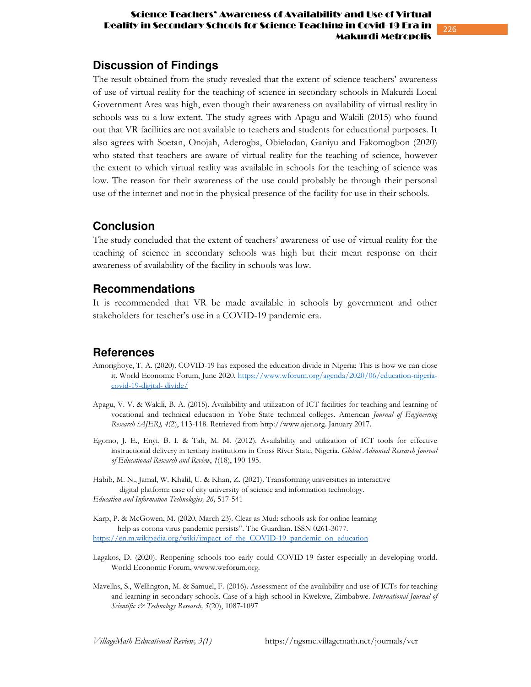### Science Teachers' Awareness of Availability and Use of Virtual Reality in Secondary Schools for Science Teaching in Covid-19 Era in Makurdi Metropolis

## **Discussion of Findings**

The result obtained from the study revealed that the extent of science teachers' awareness of use of virtual reality for the teaching of science in secondary schools in Makurdi Local Government Area was high, even though their awareness on availability of virtual reality in schools was to a low extent. The study agrees with Apagu and Wakili (2015) who found out that VR facilities are not available to teachers and students for educational purposes. It also agrees with Soetan, Onojah, Aderogba, Obielodan, Ganiyu and Fakomogbon (2020) who stated that teachers are aware of virtual reality for the teaching of science, however the extent to which virtual reality was available in schools for the teaching of science was low. The reason for their awareness of the use could probably be through their personal use of the internet and not in the physical presence of the facility for use in their schools.

### **Conclusion**

The study concluded that the extent of teachers' awareness of use of virtual reality for the teaching of science in secondary schools was high but their mean response on their awareness of availability of the facility in schools was low.

### **Recommendations**

It is recommended that VR be made available in schools by government and other stakeholders for teacher's use in a COVID-19 pandemic era.

### **References**

- Amorighoye, T. A. (2020). COVID-19 has exposed the education divide in Nigeria: This is how we can close it. World Economic Forum, June 2020. https://www.wforum.org/agenda/2020/06/education-nigeriacovid-19-digital- divide/
- Apagu, V. V. & Wakili, B. A. (2015). Availability and utilization of ICT facilities for teaching and learning of vocational and technical education in Yobe State technical colleges. American *Journal of Engineering Research (AJER), 4*(2), 113-118. Retrieved from http://www.ajer.org. January 2017.
- Egomo, J. E., Enyi, B. I. & Tah, M. M. (2012). Availability and utilization of ICT tools for effective instructional delivery in tertiary institutions in Cross River State, Nigeria. *Global Advanced Research Journal of Educational Research and Review*, *1*(18), 190-195.

Habib, M. N., Jamal, W. Khalil, U. & Khan, Z. (2021). Transforming universities in interactive digital platform: case of city university of science and information technology. *Education and Information Technologies, 26,* 517-541

Karp, P. & McGowen, M. (2020, March 23). Clear as Mud: schools ask for online learning help as corona virus pandemic persists". The Guardian. ISSN 0261-3077. https://en.m.wikipedia.org/wiki/impact\_of\_the\_COVID-19\_pandemic\_on\_education

- Lagakos, D. (2020). Reopening schools too early could COVID-19 faster especially in developing world. World Economic Forum, wwww.weforum.org.
- Mavellas, S., Wellington, M. & Samuel, F. (2016). Assessment of the availability and use of ICTs for teaching and learning in secondary schools. Case of a high school in Kwekwe, Zimbabwe. *International Journal of Scientific & Technology Research, 5*(20), 1087-1097